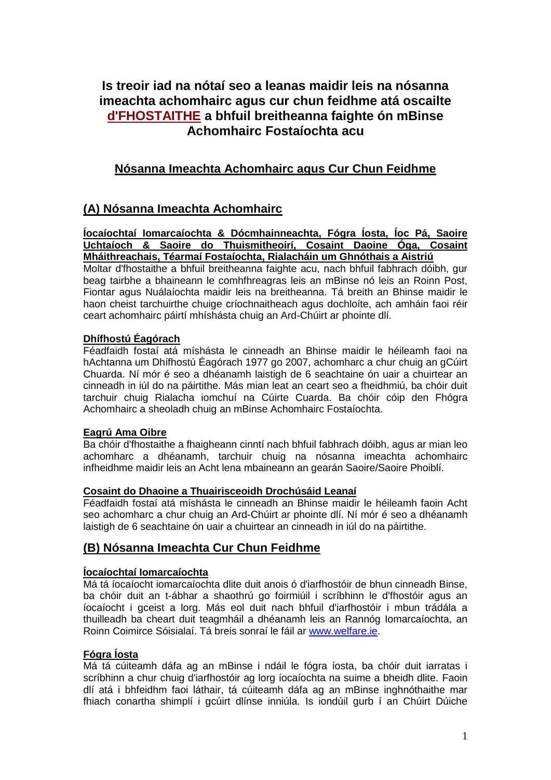# **Is treoir iad na nótaí seo a leanas maidir leis na nósanna imeachta achomhairc agus cur chun feidhme atá oscailte d'FHOSTAITHE a bhfuil breitheanna faighte ón mBinse Achomhairc Fostaíochta acu**

# **Nósanna Imeachta Achomhairc agus Cur Chun Feidhme**

# **(A) Nósanna Imeachta Achomhairc**

### **Íocaíochtaí Iomarcaíochta & Dócmhainneachta, Fógra Íosta, Íoc Pá, Saoire Uchtaíoch & Saoire do Thuismitheoirí, Cosaint Daoine Óga, Cosaint Mháithreachais, Téarmaí Fostaíochta, Rialacháin um Ghnóthais a Aistriú**

Moltar d'fhostaithe a bhfuil breitheanna faighte acu, nach bhfuil fabhrach dóibh, gur beag tairbhe a bhaineann le comhfhreagras leis an mBinse nó leis an Roinn Post, Fiontar agus Nuálaíochta maidir leis na breitheanna. Tá breith an Bhinse maidir le haon cheist tarchuirthe chuige críochnaitheach agus dochloíte, ach amháin faoi réir ceart achomhairc páirtí mhíshásta chuig an Ard-Chúirt ar phointe dlí.

### **Dhífhostú Éagórach**

Féadfaidh fostaí atá míshásta le cinneadh an Bhinse maidir le héileamh faoi na hAchtanna um Dhífhostú Éagórach 1977 go 2007, achomharc a chur chuig an gCúirt Chuarda. Ní mór é seo a dhéanamh laistigh de 6 seachtaine ón uair a chuirtear an cinneadh in iúl do na páirtithe. Más mian leat an ceart seo a fheidhmiú, ba chóir duit tarchuir chuig Rialacha iomchuí na Cúirte Cuarda. Ba chóir cóip den Fhógra Achomhairc a sheoladh chuig an mBinse Achomhairc Fostaíochta.

### **Eagrú Ama Oibre**

Ba chóir d'fhostaithe a fhaigheann cinntí nach bhfuil fabhrach dóibh, agus ar mian leo achomharc a dhéanamh, tarchuir chuig na nósanna imeachta achomhairc infheidhme maidir leis an Acht lena mbaineann an gearán Saoire/Saoire Phoiblí.

### **Cosaint do Dhaoine a Thuairisceoidh Drochúsáid Leanaí**

Féadfaidh fostaí atá míshásta le cinneadh an Bhinse maidir le héileamh faoin Acht seo achomharc a chur chuig an Ard-Chúirt ar phointe dlí. Ní mór é seo a dhéanamh laistigh de 6 seachtaine ón uair a chuirtear an cinneadh in iúl do na páirtithe.

## **(B) Nósanna Imeachta Cur Chun Feidhme**

## **Íocaíochtaí Iomarcaíochta**

Má tá íocaíocht iomarcaíochta dlite duit anois ó d'iarfhostóir de bhun cinneadh Binse, ba chóir duit an t-ábhar a shaothrú go foirmiúil i scríbhinn le d'fhostóir agus an íocaíocht i gceist a lorg. Más eol duit nach bhfuil d'iarfhostóir i mbun trádála a thuilleadh ba cheart duit teagmháil a dhéanamh leis an Rannóg Iomarcaíochta, an Roinn Coimirce Sóisialaí. Tá breis sonraí le fáil ar [www.welfare.ie.](http://www.welfare.ie/)

### **Fógra Íosta**

Má tá cúiteamh dáfa ag an mBinse i ndáil le fógra íosta, ba chóir duit iarratas i scríbhinn a chur chuig d'iarfhostóir ag lorg íocaíochta na suime a bheidh dlite. Faoin dlí atá i bhfeidhm faoi láthair, tá cúiteamh dáfa ag an mBinse inghnóthaithe mar fhiach conartha shimplí i gcúirt dlínse inniúla. Is iondúil gurb í an Chúirt Dúiche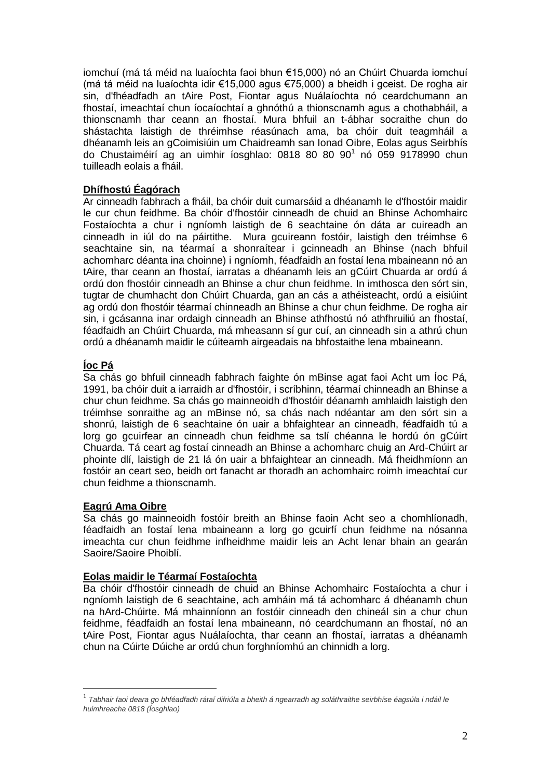iomchuí (má tá méid na luaíochta faoi bhun €15,000) nó an Chúirt Chuarda iomchuí (má tá méid na luaíochta idir €15,000 agus €75,000) a bheidh i gceist. De rogha air sin, d'fhéadfadh an tAire Post, Fiontar agus Nuálaíochta nó ceardchumann an fhostaí, imeachtaí chun íocaíochtaí a ghnóthú a thionscnamh agus a chothabháil, a thionscnamh thar ceann an fhostaí. Mura bhfuil an t-ábhar socraithe chun do shástachta laistigh de thréimhse réasúnach ama, ba chóir duit teagmháil a dhéanamh leis an gCoimisiúin um Chaidreamh san Ionad Oibre, Eolas agus Seirbhís do Chustaiméirí ag an uimhir íosghlao: 0818 80 80 90 1 nó 059 9178990 chun tuilleadh eolais a fháil.

## **Dhífhostú Éagórach**

Ar cinneadh fabhrach a fháil, ba chóir duit cumarsáid a dhéanamh le d'fhostóir maidir le cur chun feidhme. Ba chóir d'fhostóir cinneadh de chuid an Bhinse Achomhairc Fostaíochta a chur i ngníomh laistigh de 6 seachtaine ón dáta ar cuireadh an cinneadh in iúl do na páirtithe. Mura gcuireann fostóir, laistigh den tréimhse 6 seachtaine sin, na téarmaí a shonraítear i gcinneadh an Bhinse (nach bhfuil achomharc déanta ina choinne) i ngníomh, féadfaidh an fostaí lena mbaineann nó an tAire, thar ceann an fhostaí, iarratas a dhéanamh leis an gCúirt Chuarda ar ordú á ordú don fhostóir cinneadh an Bhinse a chur chun feidhme. In imthosca den sórt sin, tugtar de chumhacht don Chúirt Chuarda, gan an cás a athéisteacht, ordú a eisiúint ag ordú don fhostóir téarmaí chinneadh an Bhinse a chur chun feidhme. De rogha air sin, i gcásanna inar ordaigh cinneadh an Bhinse athfhostú nó athfhruiliú an fhostaí, féadfaidh an Chúirt Chuarda, má mheasann sí gur cuí, an cinneadh sin a athrú chun ordú a dhéanamh maidir le cúiteamh airgeadais na bhfostaithe lena mbaineann.

## **Íoc Pá**

Sa chás go bhfuil cinneadh fabhrach faighte ón mBinse agat faoi Acht um Íoc Pá, 1991, ba chóir duit a iarraidh ar d'fhostóir, i scríbhinn, téarmaí chinneadh an Bhinse a chur chun feidhme. Sa chás go mainneoidh d'fhostóir déanamh amhlaidh laistigh den tréimhse sonraithe ag an mBinse nó, sa chás nach ndéantar am den sórt sin a shonrú, laistigh de 6 seachtaine ón uair a bhfaightear an cinneadh, féadfaidh tú a lorg go gcuirfear an cinneadh chun feidhme sa tslí chéanna le hordú ón gCúirt Chuarda. Tá ceart ag fostaí cinneadh an Bhinse a achomharc chuig an Ard-Chúirt ar phointe dlí, laistigh de 21 lá ón uair a bhfaightear an cinneadh. Má fheidhmíonn an fostóir an ceart seo, beidh ort fanacht ar thoradh an achomhairc roimh imeachtaí cur chun feidhme a thionscnamh.

## **Eagrú Ama Oibre**

Sa chás go mainneoidh fostóir breith an Bhinse faoin Acht seo a chomhlíonadh, féadfaidh an fostaí lena mbaineann a lorg go gcuirfí chun feidhme na nósanna imeachta cur chun feidhme infheidhme maidir leis an Acht lenar bhain an gearán Saoire/Saoire Phoiblí.

## **Eolas maidir le Téarmaí Fostaíochta**

Ba chóir d'fhostóir cinneadh de chuid an Bhinse Achomhairc Fostaíochta a chur i ngníomh laistigh de 6 seachtaine, ach amháin má tá achomharc á dhéanamh chun na hArd-Chúirte. Má mhainníonn an fostóir cinneadh den chineál sin a chur chun feidhme, féadfaidh an fostaí lena mbaineann, nó ceardchumann an fhostaí, nó an tAire Post, Fiontar agus Nuálaíochta, thar ceann an fhostaí, iarratas a dhéanamh chun na Cúirte Dúiche ar ordú chun forghníomhú an chinnidh a lorg.

 $^1$  Tabhair faoi deara go bhféadfadh rátaí difriúla a bheith á ngearradh ag soláthraithe seirbhíse éagsúla i ndáil le *huimhreacha 0818 (Íosghlao)*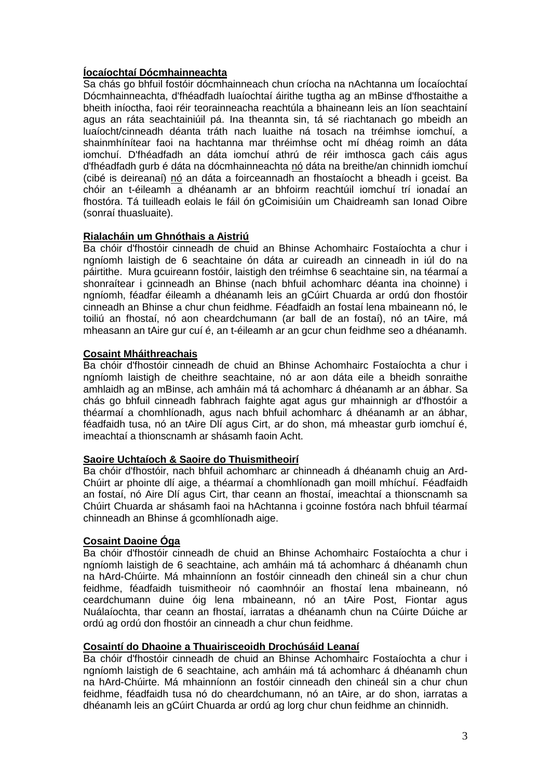### **Íocaíochtaí Dócmhainneachta**

Sa chás go bhfuil fostóir dócmhainneach chun críocha na nAchtanna um Íocaíochtaí Dócmhainneachta, d'fhéadfadh luaíochtaí áirithe tugtha ag an mBinse d'fhostaithe a bheith iníoctha, faoi réir teorainneacha reachtúla a bhaineann leis an líon seachtainí agus an ráta seachtainiúil pá. Ina theannta sin, tá sé riachtanach go mbeidh an luaíocht/cinneadh déanta tráth nach luaithe ná tosach na tréimhse iomchuí, a shainmhínítear faoi na hachtanna mar thréimhse ocht mí dhéag roimh an dáta iomchuí. D'fhéadfadh an dáta iomchuí athrú de réir imthosca gach cáis agus d'fhéadfadh gurb é dáta na dócmhainneachta nó dáta na breithe/an chinnidh iomchuí (cibé is deireanaí) nó an dáta a foirceannadh an fhostaíocht a bheadh i gceist. Ba chóir an t-éileamh a dhéanamh ar an bhfoirm reachtúil iomchuí trí ionadaí an fhostóra. Tá tuilleadh eolais le fáil ón gCoimisiúin um Chaidreamh san Ionad Oibre (sonraí thuasluaite).

#### **Rialacháin um Ghnóthais a Aistriú**

Ba chóir d'fhostóir cinneadh de chuid an Bhinse Achomhairc Fostaíochta a chur i ngníomh laistigh de 6 seachtaine ón dáta ar cuireadh an cinneadh in iúl do na páirtithe. Mura gcuireann fostóir, laistigh den tréimhse 6 seachtaine sin, na téarmaí a shonraítear i gcinneadh an Bhinse (nach bhfuil achomharc déanta ina choinne) i ngníomh, féadfar éileamh a dhéanamh leis an gCúirt Chuarda ar ordú don fhostóir cinneadh an Bhinse a chur chun feidhme. Féadfaidh an fostaí lena mbaineann nó, le toiliú an fhostaí, nó aon cheardchumann (ar ball de an fostaí), nó an tAire, má mheasann an tAire gur cuí é, an t-éileamh ar an gcur chun feidhme seo a dhéanamh.

#### **Cosaint Mháithreachais**

Ba chóir d'fhostóir cinneadh de chuid an Bhinse Achomhairc Fostaíochta a chur i ngníomh laistigh de cheithre seachtaine, nó ar aon dáta eile a bheidh sonraithe amhlaidh ag an mBinse, ach amháin má tá achomharc á dhéanamh ar an ábhar. Sa chás go bhfuil cinneadh fabhrach faighte agat agus gur mhainnigh ar d'fhostóir a théarmaí a chomhlíonadh, agus nach bhfuil achomharc á dhéanamh ar an ábhar, féadfaidh tusa, nó an tAire Dlí agus Cirt, ar do shon, má mheastar gurb iomchuí é, imeachtaí a thionscnamh ar shásamh faoin Acht.

### **Saoire Uchtaíoch & Saoire do Thuismitheoirí**

Ba chóir d'fhostóir, nach bhfuil achomharc ar chinneadh á dhéanamh chuig an Ard-Chúirt ar phointe dlí aige, a théarmaí a chomhlíonadh gan moill mhíchuí. Féadfaidh an fostaí, nó Aire Dlí agus Cirt, thar ceann an fhostaí, imeachtaí a thionscnamh sa Chúirt Chuarda ar shásamh faoi na hAchtanna i gcoinne fostóra nach bhfuil téarmaí chinneadh an Bhinse á gcomhlíonadh aige.

### **Cosaint Daoine Óga**

Ba chóir d'fhostóir cinneadh de chuid an Bhinse Achomhairc Fostaíochta a chur i ngníomh laistigh de 6 seachtaine, ach amháin má tá achomharc á dhéanamh chun na hArd-Chúirte. Má mhainníonn an fostóir cinneadh den chineál sin a chur chun feidhme, féadfaidh tuismitheoir nó caomhnóir an fhostaí lena mbaineann, nó ceardchumann duine óig lena mbaineann, nó an tAire Post, Fiontar agus Nuálaíochta, thar ceann an fhostaí, iarratas a dhéanamh chun na Cúirte Dúiche ar ordú ag ordú don fhostóir an cinneadh a chur chun feidhme.

### **Cosaintí do Dhaoine a Thuairisceoidh Drochúsáid Leanaí**

Ba chóir d'fhostóir cinneadh de chuid an Bhinse Achomhairc Fostaíochta a chur i ngníomh laistigh de 6 seachtaine, ach amháin má tá achomharc á dhéanamh chun na hArd-Chúirte. Má mhainníonn an fostóir cinneadh den chineál sin a chur chun feidhme, féadfaidh tusa nó do cheardchumann, nó an tAire, ar do shon, iarratas a dhéanamh leis an gCúirt Chuarda ar ordú ag lorg chur chun feidhme an chinnidh.